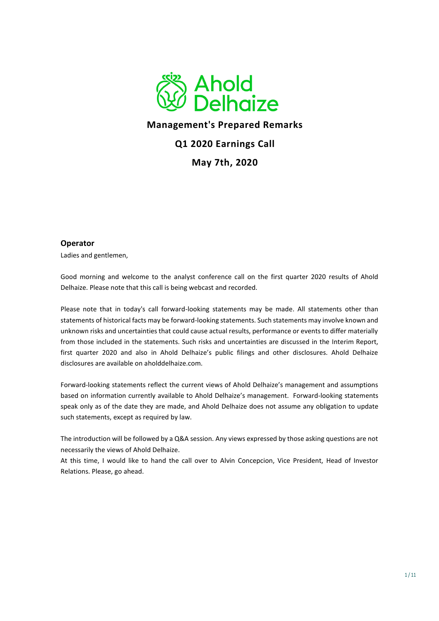

# **Management's Prepared Remarks**

## **Q1 2020 Earnings Call**

**May 7th, 2020**

### **Operator**

Ladies and gentlemen,

Good morning and welcome to the analyst conference call on the first quarter 2020 results of Ahold Delhaize. Please note that this call is being webcast and recorded.

Please note that in today's call forward-looking statements may be made. All statements other than statements of historical facts may be forward-looking statements. Such statements may involve known and unknown risks and uncertainties that could cause actual results, performance or events to differ materially from those included in the statements. Such risks and uncertainties are discussed in the Interim Report, first quarter 2020 and also in Ahold Delhaize's public filings and other disclosures. Ahold Delhaize disclosures are available on aholddelhaize.com.

Forward-looking statements reflect the current views of Ahold Delhaize's management and assumptions based on information currently available to Ahold Delhaize's management. Forward-looking statements speak only as of the date they are made, and Ahold Delhaize does not assume any obligation to update such statements, except as required by law.

The introduction will be followed by a Q&A session. Any views expressed by those asking questions are not necessarily the views of Ahold Delhaize.

At this time, I would like to hand the call over to Alvin Concepcion, Vice President, Head of Investor Relations. Please, go ahead.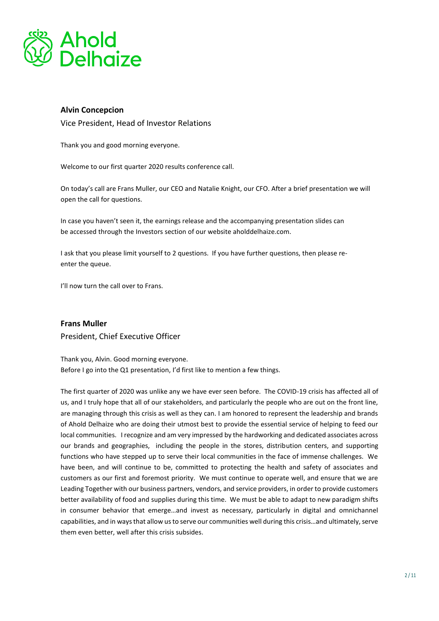

## **Alvin Concepcion**

Vice President, Head of Investor Relations

Thank you and good morning everyone.

Welcome to our first quarter 2020 results conference call.

On today's call are Frans Muller, our CEO and Natalie Knight, our CFO. After a brief presentation we will open the call for questions.

In case you haven't seen it, the earnings release and the accompanying presentation slides can be accessed through the Investors section of our website aholddelhaize.com.

I ask that you please limit yourself to 2 questions. If you have further questions, then please reenter the queue.

I'll now turn the call over to Frans.

**Frans Muller**  President, Chief Executive Officer

Thank you, Alvin. Good morning everyone. Before I go into the Q1 presentation, I'd first like to mention a few things.

The first quarter of 2020 was unlike any we have ever seen before. The COVID-19 crisis has affected all of us, and I truly hope that all of our stakeholders, and particularly the people who are out on the front line, are managing through this crisis as well as they can. I am honored to represent the leadership and brands of Ahold Delhaize who are doing their utmost best to provide the essential service of helping to feed our local communities. I recognize and am very impressed by the hardworking and dedicated associates across our brands and geographies, including the people in the stores, distribution centers, and supporting functions who have stepped up to serve their local communities in the face of immense challenges. We have been, and will continue to be, committed to protecting the health and safety of associates and customers as our first and foremost priority. We must continue to operate well, and ensure that we are Leading Together with our business partners, vendors, and service providers, in order to provide customers better availability of food and supplies during this time. We must be able to adapt to new paradigm shifts in consumer behavior that emerge…and invest as necessary, particularly in digital and omnichannel capabilities, and in ways that allow us to serve our communities well during this crisis…and ultimately, serve them even better, well after this crisis subsides.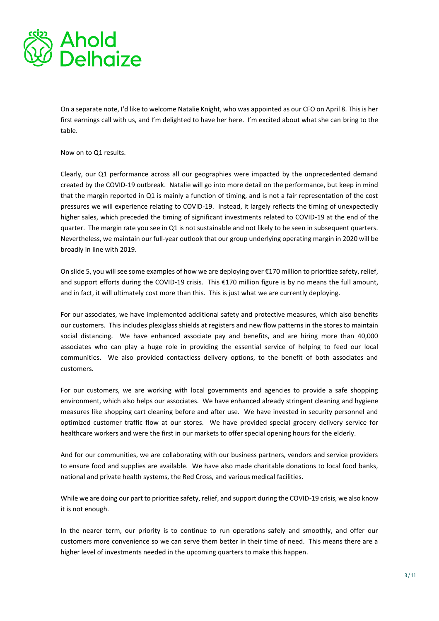

On a separate note, I'd like to welcome Natalie Knight, who was appointed as our CFO on April 8. This is her first earnings call with us, and I'm delighted to have her here. I'm excited about what she can bring to the table.

#### Now on to Q1 results.

Clearly, our Q1 performance across all our geographies were impacted by the unprecedented demand created by the COVID-19 outbreak. Natalie will go into more detail on the performance, but keep in mind that the margin reported in Q1 is mainly a function of timing, and is not a fair representation of the cost pressures we will experience relating to COVID-19. Instead, it largely reflects the timing of unexpectedly higher sales, which preceded the timing of significant investments related to COVID-19 at the end of the quarter. The margin rate you see in Q1 is not sustainable and not likely to be seen in subsequent quarters. Nevertheless, we maintain our full-year outlook that our group underlying operating margin in 2020 will be broadly in line with 2019.

On slide 5, you will see some examples of how we are deploying over €170 million to prioritize safety, relief, and support efforts during the COVID-19 crisis. This €170 million figure is by no means the full amount, and in fact, it will ultimately cost more than this. This is just what we are currently deploying.

For our associates, we have implemented additional safety and protective measures, which also benefits our customers. This includes plexiglass shields at registers and new flow patterns in the stores to maintain social distancing. We have enhanced associate pay and benefits, and are hiring more than 40,000 associates who can play a huge role in providing the essential service of helping to feed our local communities. We also provided contactless delivery options, to the benefit of both associates and customers.

For our customers, we are working with local governments and agencies to provide a safe shopping environment, which also helps our associates. We have enhanced already stringent cleaning and hygiene measures like shopping cart cleaning before and after use. We have invested in security personnel and optimized customer traffic flow at our stores. We have provided special grocery delivery service for healthcare workers and were the first in our markets to offer special opening hours for the elderly.

And for our communities, we are collaborating with our business partners, vendors and service providers to ensure food and supplies are available. We have also made charitable donations to local food banks, national and private health systems, the Red Cross, and various medical facilities.

While we are doing our part to prioritize safety, relief, and support during the COVID-19 crisis, we also know it is not enough.

In the nearer term, our priority is to continue to run operations safely and smoothly, and offer our customers more convenience so we can serve them better in their time of need. This means there are a higher level of investments needed in the upcoming quarters to make this happen.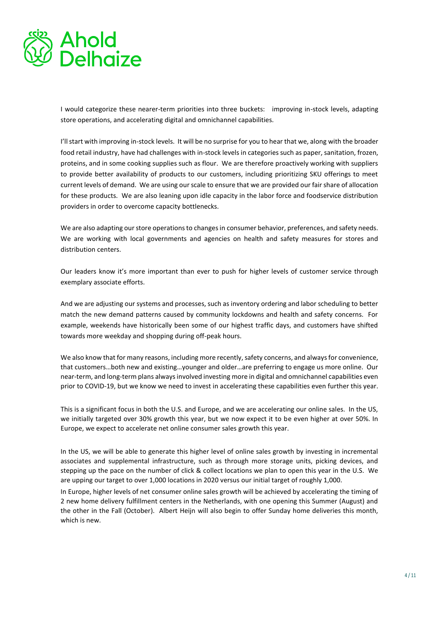

I would categorize these nearer-term priorities into three buckets: improving in-stock levels, adapting store operations, and accelerating digital and omnichannel capabilities.

I'll start with improving in-stock levels. It will be no surprise for you to hear that we, along with the broader food retail industry, have had challenges with in-stock levels in categories such as paper, sanitation, frozen, proteins, and in some cooking supplies such as flour. We are therefore proactively working with suppliers to provide better availability of products to our customers, including prioritizing SKU offerings to meet current levels of demand. We are using our scale to ensure that we are provided our fair share of allocation for these products. We are also leaning upon idle capacity in the labor force and foodservice distribution providers in order to overcome capacity bottlenecks.

We are also adapting our store operations to changes in consumer behavior, preferences, and safety needs. We are working with local governments and agencies on health and safety measures for stores and distribution centers.

Our leaders know it's more important than ever to push for higher levels of customer service through exemplary associate efforts.

And we are adjusting our systems and processes, such as inventory ordering and labor scheduling to better match the new demand patterns caused by community lockdowns and health and safety concerns. For example, weekends have historically been some of our highest traffic days, and customers have shifted towards more weekday and shopping during off-peak hours.

We also know that for many reasons, including more recently, safety concerns, and always for convenience, that customers…both new and existing…younger and older…are preferring to engage us more online. Our near-term, and long-term plans always involved investing more in digital and omnichannel capabilities even prior to COVID-19, but we know we need to invest in accelerating these capabilities even further this year.

This is a significant focus in both the U.S. and Europe, and we are accelerating our online sales. In the US, we initially targeted over 30% growth this year, but we now expect it to be even higher at over 50%. In Europe, we expect to accelerate net online consumer sales growth this year.

In the US, we will be able to generate this higher level of online sales growth by investing in incremental associates and supplemental infrastructure, such as through more storage units, picking devices, and stepping up the pace on the number of click & collect locations we plan to open this year in the U.S. We are upping our target to over 1,000 locations in 2020 versus our initial target of roughly 1,000.

In Europe, higher levels of net consumer online sales growth will be achieved by accelerating the timing of 2 new home delivery fulfillment centers in the Netherlands, with one opening this Summer (August) and the other in the Fall (October). Albert Heijn will also begin to offer Sunday home deliveries this month, which is new.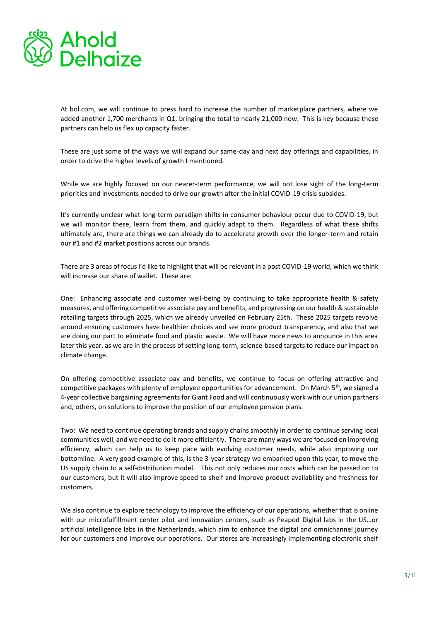

At bol.com, we will continue to press hard to increase the number of marketplace partners, where we added another 1,700 merchants in Q1, bringing the total to nearly 21,000 now. This is key because these partners can help us flex up capacity faster.

These are just some of the ways we will expand our same-day and next day offerings and capabilities, in order to drive the higher levels of growth I mentioned.

While we are highly focused on our nearer-term performance, we will not lose sight of the long-term priorities and investments needed to drive our growth after the initial COVID-19 crisis subsides.

It's currently unclear what long-term paradigm shifts in consumer behaviour occur due to COVID-19, but we will monitor these, learn from them, and quickly adapt to them. Regardless of what these shifts ultimately are, there are things we can already do to accelerate growth over the longer-term and retain our #1 and #2 market positions across our brands.

There are 3 areas of focus I'd like to highlight that will be relevant in a post COVID-19 world, which we think will increase our share of wallet. These are:

One: Enhancing associate and customer well-being by continuing to take appropriate health & safety measures, and offering competitive associate pay and benefits, and progressing on our health & sustainable retailing targets through 2025, which we already unveiled on February 25th. These 2025 targets revolve around ensuring customers have healthier choices and see more product transparency, and also that we are doing our part to eliminate food and plastic waste. We will have more news to announce in this area later this year, as we are in the process of setting long-term, science-based targets to reduce our impact on climate change.

On offering competitive associate pay and benefits, we continue to focus on offering attractive and competitive packages with plenty of employee opportunities for advancement. On March 5<sup>th</sup>, we signed a 4-year collective bargaining agreements for Giant Food and will continuously work with our union partners and, others, on solutions to improve the position of our employee pension plans.

Two: We need to continue operating brands and supply chains smoothly in order to continue serving local communities well, and we need to do it more efficiently. There are many ways we are focused on improving efficiency, which can help us to keep pace with evolving customer needs, while also improving our bottomline. A very good example of this, is the 3-year strategy we embarked upon this year, to move the US supply chain to a self-distribution model. This not only reduces our costs which can be passed on to our customers, but it will also improve speed to shelf and improve product availability and freshness for customers.

We also continue to explore technology to improve the efficiency of our operations, whether that is online with our microfulfillment center pilot and innovation centers, such as Peapod Digital labs in the US…or artificial intelligence labs in the Netherlands, which aim to enhance the digital and omnichannel journey for our customers and improve our operations. Our stores are increasingly implementing electronic shelf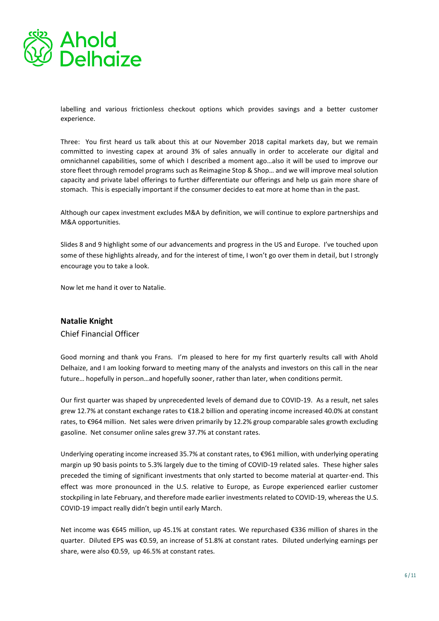

labelling and various frictionless checkout options which provides savings and a better customer experience.

Three: You first heard us talk about this at our November 2018 capital markets day, but we remain committed to investing capex at around 3% of sales annually in order to accelerate our digital and omnichannel capabilities, some of which I described a moment ago…also it will be used to improve our store fleet through remodel programs such as Reimagine Stop & Shop… and we will improve meal solution capacity and private label offerings to further differentiate our offerings and help us gain more share of stomach. This is especially important if the consumer decides to eat more at home than in the past.

Although our capex investment excludes M&A by definition, we will continue to explore partnerships and M&A opportunities.

Slides 8 and 9 highlight some of our advancements and progress in the US and Europe. I've touched upon some of these highlights already, and for the interest of time, I won't go over them in detail, but I strongly encourage you to take a look.

Now let me hand it over to Natalie.

## **Natalie Knight**

Chief Financial Officer

Good morning and thank you Frans. I'm pleased to here for my first quarterly results call with Ahold Delhaize, and I am looking forward to meeting many of the analysts and investors on this call in the near future… hopefully in person…and hopefully sooner, rather than later, when conditions permit.

Our first quarter was shaped by unprecedented levels of demand due to COVID-19. As a result, net sales grew 12.7% at constant exchange rates to €18.2 billion and operating income increased 40.0% at constant rates, to €964 million. Net sales were driven primarily by 12.2% group comparable sales growth excluding gasoline. Net consumer online sales grew 37.7% at constant rates.

Underlying operating income increased 35.7% at constant rates, to €961 million, with underlying operating margin up 90 basis points to 5.3% largely due to the timing of COVID-19 related sales. These higher sales preceded the timing of significant investments that only started to become material at quarter-end. This effect was more pronounced in the U.S. relative to Europe, as Europe experienced earlier customer stockpiling in late February, and therefore made earlier investments related to COVID-19, whereas the U.S. COVID-19 impact really didn't begin until early March.

Net income was €645 million, up 45.1% at constant rates. We repurchased €336 million of shares in the quarter. Diluted EPS was €0.59, an increase of 51.8% at constant rates. Diluted underlying earnings per share, were also €0.59, up 46.5% at constant rates.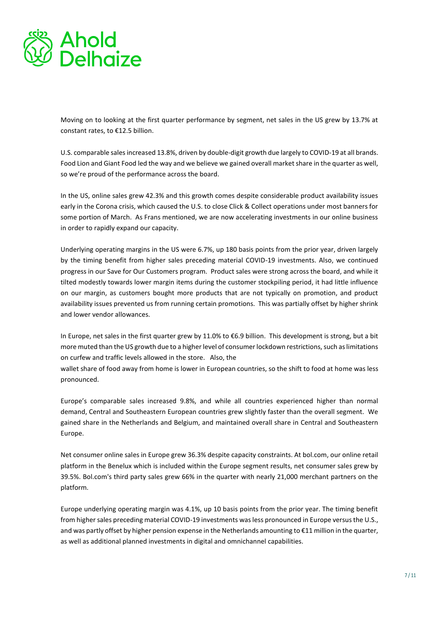

Moving on to looking at the first quarter performance by segment, net sales in the US grew by 13.7% at constant rates, to €12.5 billion.

U.S. comparable sales increased 13.8%, driven by double-digit growth due largely to COVID-19 at all brands. Food Lion and Giant Food led the way and we believe we gained overall market share in the quarter as well, so we're proud of the performance across the board.

In the US, online sales grew 42.3% and this growth comes despite considerable product availability issues early in the Corona crisis, which caused the U.S. to close Click & Collect operations under most banners for some portion of March. As Frans mentioned, we are now accelerating investments in our online business in order to rapidly expand our capacity.

Underlying operating margins in the US were 6.7%, up 180 basis points from the prior year, driven largely by the timing benefit from higher sales preceding material COVID-19 investments. Also, we continued progress in our Save for Our Customers program. Product sales were strong across the board, and while it tilted modestly towards lower margin items during the customer stockpiling period, it had little influence on our margin, as customers bought more products that are not typically on promotion, and product availability issues prevented us from running certain promotions. This was partially offset by higher shrink and lower vendor allowances.

In Europe, net sales in the first quarter grew by 11.0% to €6.9 billion. This development is strong, but a bit more muted than the US growth due to a higher level of consumer lockdown restrictions, such as limitations on curfew and traffic levels allowed in the store. Also, the

wallet share of food away from home is lower in European countries, so the shift to food at home was less pronounced.

Europe's comparable sales increased 9.8%, and while all countries experienced higher than normal demand, Central and Southeastern European countries grew slightly faster than the overall segment. We gained share in the Netherlands and Belgium, and maintained overall share in Central and Southeastern Europe.

Net consumer online sales in Europe grew 36.3% despite capacity constraints. At bol.com, our online retail platform in the Benelux which is included within the Europe segment results, net consumer sales grew by 39.5%. Bol.com's third party sales grew 66% in the quarter with nearly 21,000 merchant partners on the platform.

Europe underlying operating margin was 4.1%, up 10 basis points from the prior year. The timing benefit from higher sales preceding material COVID-19 investments was less pronounced in Europe versus the U.S., and was partly offset by higher pension expense in the Netherlands amounting to €11 million in the quarter, as well as additional planned investments in digital and omnichannel capabilities.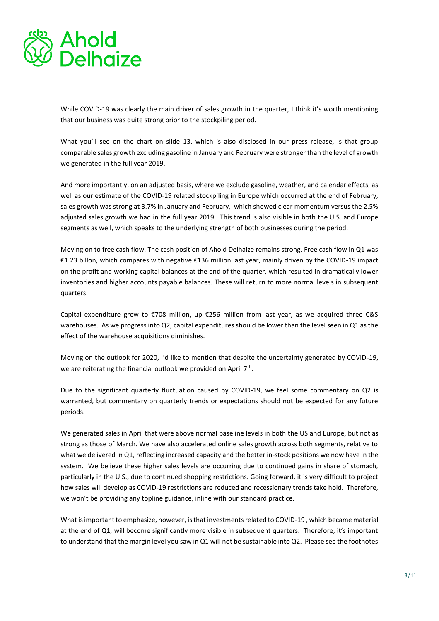

While COVID-19 was clearly the main driver of sales growth in the quarter, I think it's worth mentioning that our business was quite strong prior to the stockpiling period.

What you'll see on the chart on slide 13, which is also disclosed in our press release, is that group comparable sales growth excluding gasoline in January and February were stronger than the level of growth we generated in the full year 2019.

And more importantly, on an adjusted basis, where we exclude gasoline, weather, and calendar effects, as well as our estimate of the COVID-19 related stockpiling in Europe which occurred at the end of February, sales growth was strong at 3.7% in January and February, which showed clear momentum versus the 2.5% adjusted sales growth we had in the full year 2019. This trend is also visible in both the U.S. and Europe segments as well, which speaks to the underlying strength of both businesses during the period.

Moving on to free cash flow. The cash position of Ahold Delhaize remains strong. Free cash flow in Q1 was €1.23 billon, which compares with negative €136 million last year, mainly driven by the COVID-19 impact on the profit and working capital balances at the end of the quarter, which resulted in dramatically lower inventories and higher accounts payable balances. These will return to more normal levels in subsequent quarters.

Capital expenditure grew to €708 million, up €256 million from last year, as we acquired three C&S warehouses. As we progress into Q2, capital expenditures should be lower than the level seen in Q1 as the effect of the warehouse acquisitions diminishes.

Moving on the outlook for 2020, I'd like to mention that despite the uncertainty generated by COVID-19, we are reiterating the financial outlook we provided on April 7<sup>th</sup>.

Due to the significant quarterly fluctuation caused by COVID-19, we feel some commentary on Q2 is warranted, but commentary on quarterly trends or expectations should not be expected for any future periods.

We generated sales in April that were above normal baseline levels in both the US and Europe, but not as strong as those of March. We have also accelerated online sales growth across both segments, relative to what we delivered in Q1, reflecting increased capacity and the better in-stock positions we now have in the system. We believe these higher sales levels are occurring due to continued gains in share of stomach, particularly in the U.S., due to continued shopping restrictions. Going forward, it is very difficult to project how sales will develop as COVID-19 restrictions are reduced and recessionary trends take hold. Therefore, we won't be providing any topline guidance, inline with our standard practice.

What is important to emphasize, however, is that investments related to COVID-19 , which became material at the end of Q1, will become significantly more visible in subsequent quarters. Therefore, it's important to understand that the margin level you saw in Q1 will not be sustainable into Q2. Please see the footnotes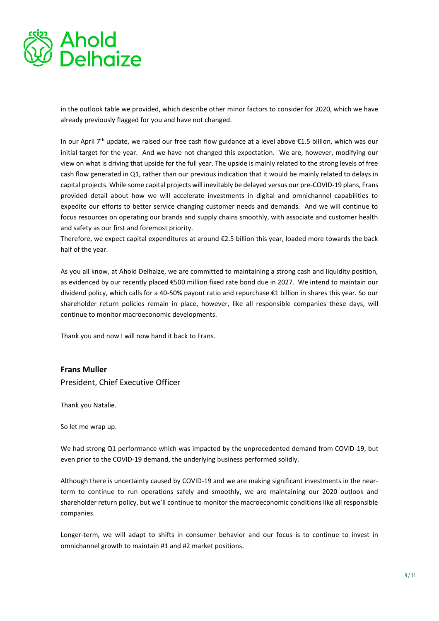

in the outlook table we provided, which describe other minor factors to consider for 2020, which we have already previously flagged for you and have not changed.

In our April 7th update, we raised our free cash flow guidance at a level above €1.5 billion, which was our initial target for the year. And we have not changed this expectation. We are, however, modifying our view on what is driving that upside for the full year. The upside is mainly related to the strong levels of free cash flow generated in Q1, rather than our previous indication that it would be mainly related to delays in capital projects. While some capital projects will inevitably be delayed versus our pre-COVID-19 plans, Frans provided detail about how we will accelerate investments in digital and omnichannel capabilities to expedite our efforts to better service changing customer needs and demands. And we will continue to focus resources on operating our brands and supply chains smoothly, with associate and customer health and safety as our first and foremost priority.

Therefore, we expect capital expenditures at around €2.5 billion this year, loaded more towards the back half of the year.

As you all know, at Ahold Delhaize, we are committed to maintaining a strong cash and liquidity position, as evidenced by our recently placed €500 million fixed rate bond due in 2027. We intend to maintain our dividend policy, which calls for a 40-50% payout ratio and repurchase €1 billion in shares this year. So our shareholder return policies remain in place, however, like all responsible companies these days, will continue to monitor macroeconomic developments.

Thank you and now I will now hand it back to Frans.

## **Frans Muller**

President, Chief Executive Officer

Thank you Natalie.

So let me wrap up.

We had strong Q1 performance which was impacted by the unprecedented demand from COVID-19, but even prior to the COVID-19 demand, the underlying business performed solidly.

Although there is uncertainty caused by COVID-19 and we are making significant investments in the nearterm to continue to run operations safely and smoothly, we are maintaining our 2020 outlook and shareholder return policy, but we'll continue to monitor the macroeconomic conditions like all responsible companies.

Longer-term, we will adapt to shifts in consumer behavior and our focus is to continue to invest in omnichannel growth to maintain #1 and #2 market positions.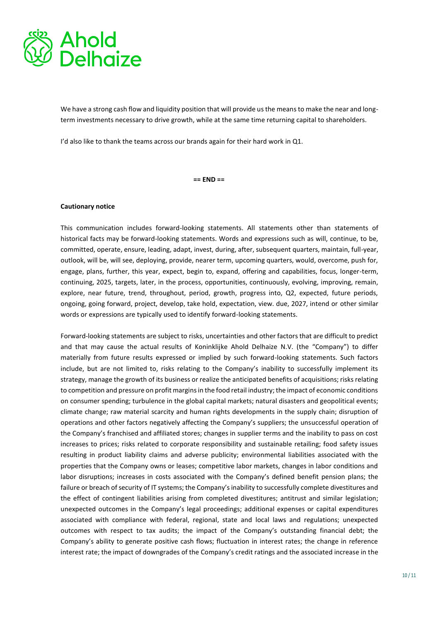

We have a strong cash flow and liquidity position that will provide us the means to make the near and longterm investments necessary to drive growth, while at the same time returning capital to shareholders.

I'd also like to thank the teams across our brands again for their hard work in Q1.

**== END ==** 

#### **Cautionary notice**

This communication includes forward-looking statements. All statements other than statements of historical facts may be forward-looking statements. Words and expressions such as will, continue, to be, committed, operate, ensure, leading, adapt, invest, during, after, subsequent quarters, maintain, full-year, outlook, will be, will see, deploying, provide, nearer term, upcoming quarters, would, overcome, push for, engage, plans, further, this year, expect, begin to, expand, offering and capabilities, focus, longer-term, continuing, 2025, targets, later, in the process, opportunities, continuously, evolving, improving, remain, explore, near future, trend, throughout, period, growth, progress into, Q2, expected, future periods, ongoing, going forward, project, develop, take hold, expectation, view. due, 2027, intend or other similar words or expressions are typically used to identify forward-looking statements.

Forward-looking statements are subject to risks, uncertainties and other factors that are difficult to predict and that may cause the actual results of Koninklijke Ahold Delhaize N.V. (the "Company") to differ materially from future results expressed or implied by such forward-looking statements. Such factors include, but are not limited to, risks relating to the Company's inability to successfully implement its strategy, manage the growth of its business or realize the anticipated benefits of acquisitions; risks relating to competition and pressure on profit margins in the food retail industry; the impact of economic conditions on consumer spending; turbulence in the global capital markets; natural disasters and geopolitical events; climate change; raw material scarcity and human rights developments in the supply chain; disruption of operations and other factors negatively affecting the Company's suppliers; the unsuccessful operation of the Company's franchised and affiliated stores; changes in supplier terms and the inability to pass on cost increases to prices; risks related to corporate responsibility and sustainable retailing; food safety issues resulting in product liability claims and adverse publicity; environmental liabilities associated with the properties that the Company owns or leases; competitive labor markets, changes in labor conditions and labor disruptions; increases in costs associated with the Company's defined benefit pension plans; the failure or breach of security of IT systems; the Company's inability to successfully complete divestitures and the effect of contingent liabilities arising from completed divestitures; antitrust and similar legislation; unexpected outcomes in the Company's legal proceedings; additional expenses or capital expenditures associated with compliance with federal, regional, state and local laws and regulations; unexpected outcomes with respect to tax audits; the impact of the Company's outstanding financial debt; the Company's ability to generate positive cash flows; fluctuation in interest rates; the change in reference interest rate; the impact of downgrades of the Company's credit ratings and the associated increase in the